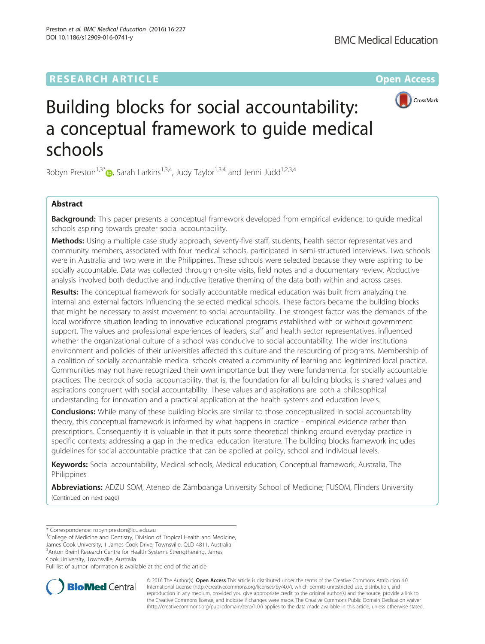DOI 10.1186/s12909-016-0741-y

Preston et al. BMC Medical Education (2016) 16:227



# Building blocks for social accountability: a conceptual framework to guide medical schools

Robyn Preston<sup>1,3\*</sup> $\bullet$ , Sarah Larkins<sup>1,3,4</sup>, Judy Taylor<sup>1,3,4</sup> and Jenni Judd<sup>1,2,3,4</sup>

# Abstract

**Background:** This paper presents a conceptual framework developed from empirical evidence, to quide medical schools aspiring towards greater social accountability.

Methods: Using a multiple case study approach, seventy-five staff, students, health sector representatives and community members, associated with four medical schools, participated in semi-structured interviews. Two schools were in Australia and two were in the Philippines. These schools were selected because they were aspiring to be socially accountable. Data was collected through on-site visits, field notes and a documentary review. Abductive analysis involved both deductive and inductive iterative theming of the data both within and across cases.

Results: The conceptual framework for socially accountable medical education was built from analyzing the internal and external factors influencing the selected medical schools. These factors became the building blocks that might be necessary to assist movement to social accountability. The strongest factor was the demands of the local workforce situation leading to innovative educational programs established with or without government support. The values and professional experiences of leaders, staff and health sector representatives, influenced whether the organizational culture of a school was conducive to social accountability. The wider institutional environment and policies of their universities affected this culture and the resourcing of programs. Membership of a coalition of socially accountable medical schools created a community of learning and legitimized local practice. Communities may not have recognized their own importance but they were fundamental for socially accountable practices. The bedrock of social accountability, that is, the foundation for all building blocks, is shared values and aspirations congruent with social accountability. These values and aspirations are both a philosophical understanding for innovation and a practical application at the health systems and education levels.

**Conclusions:** While many of these building blocks are similar to those conceptualized in social accountability theory, this conceptual framework is informed by what happens in practice - empirical evidence rather than prescriptions. Consequently it is valuable in that it puts some theoretical thinking around everyday practice in specific contexts; addressing a gap in the medical education literature. The building blocks framework includes guidelines for social accountable practice that can be applied at policy, school and individual levels.

Keywords: Social accountability, Medical schools, Medical education, Conceptual framework, Australia, The Philippines

Abbreviations: ADZU SOM, Ateneo de Zamboanga University School of Medicine; FUSOM, Flinders University (Continued on next page)

<sup>1</sup>College of Medicine and Dentistry, Division of Tropical Health and Medicine, James Cook University, 1 James Cook Drive, Townsville, QLD 4811, Australia <sup>3</sup> Anton Breinl Research Centre for Health Systems Strengthening, James

Cook University, Townsville, Australia

Full list of author information is available at the end of the article



© 2016 The Author(s). Open Access This article is distributed under the terms of the Creative Commons Attribution 4.0 International License [\(http://creativecommons.org/licenses/by/4.0/](http://creativecommons.org/licenses/by/4.0/)), which permits unrestricted use, distribution, and reproduction in any medium, provided you give appropriate credit to the original author(s) and the source, provide a link to the Creative Commons license, and indicate if changes were made. The Creative Commons Public Domain Dedication waiver [\(http://creativecommons.org/publicdomain/zero/1.0/](http://creativecommons.org/publicdomain/zero/1.0/)) applies to the data made available in this article, unless otherwise stated.

<sup>\*</sup> Correspondence: [robyn.preston@jcu.edu.au](mailto:robyn.preston@jcu.edu.au) <sup>1</sup>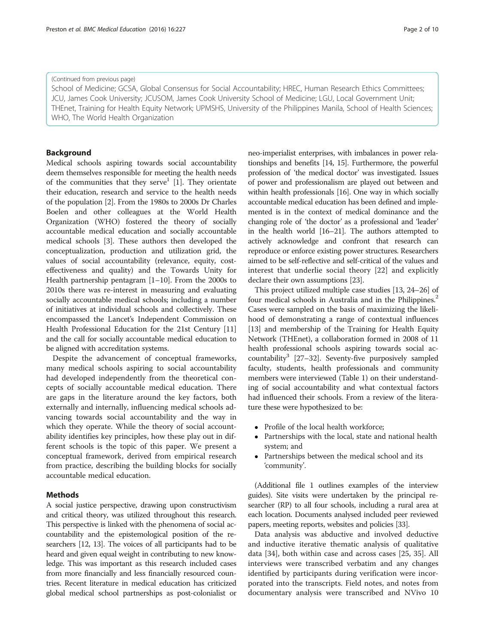#### (Continued from previous page)

School of Medicine; GCSA, Global Consensus for Social Accountability; HREC, Human Research Ethics Committees; JCU, James Cook University; JCUSOM, James Cook University School of Medicine; LGU, Local Government Unit; THEnet, Training for Health Equity Network; UPMSHS, University of the Philippines Manila, School of Health Sciences; WHO, The World Health Organization

# Background

Medical schools aspiring towards social accountability deem themselves responsible for meeting the health needs of the communities that they serve<sup>1</sup> [[1\]](#page-8-0). They orientate their education, research and service to the health needs of the population [[2\]](#page-8-0). From the 1980s to 2000s Dr Charles Boelen and other colleagues at the World Health Organization (WHO) fostered the theory of socially accountable medical education and socially accountable medical schools [\[3](#page-8-0)]. These authors then developed the conceptualization, production and utilization grid, the values of social accountability (relevance, equity, costeffectiveness and quality) and the Towards Unity for Health partnership pentagram [[1](#page-8-0)–[10\]](#page-8-0). From the 2000s to 2010s there was re-interest in measuring and evaluating socially accountable medical schools; including a number of initiatives at individual schools and collectively. These encompassed the Lancet's Independent Commission on Health Professional Education for the 21st Century [[11](#page-8-0)] and the call for socially accountable medical education to be aligned with accreditation systems.

Despite the advancement of conceptual frameworks, many medical schools aspiring to social accountability had developed independently from the theoretical concepts of socially accountable medical education. There are gaps in the literature around the key factors, both externally and internally, influencing medical schools advancing towards social accountability and the way in which they operate. While the theory of social accountability identifies key principles, how these play out in different schools is the topic of this paper. We present a conceptual framework, derived from empirical research from practice, describing the building blocks for socially accountable medical education.

# **Methods**

A social justice perspective, drawing upon constructivism and critical theory, was utilized throughout this research. This perspective is linked with the phenomena of social accountability and the epistemological position of the researchers [\[12, 13\]](#page-8-0). The voices of all participants had to be heard and given equal weight in contributing to new knowledge. This was important as this research included cases from more financially and less financially resourced countries. Recent literature in medical education has criticized global medical school partnerships as post-colonialist or neo-imperialist enterprises, with imbalances in power relationships and benefits [\[14](#page-8-0), [15](#page-8-0)]. Furthermore, the powerful profession of 'the medical doctor' was investigated. Issues of power and professionalism are played out between and within health professionals [\[16\]](#page-8-0). One way in which socially accountable medical education has been defined and implemented is in the context of medical dominance and the changing role of 'the doctor' as a professional and 'leader'

actively acknowledge and confront that research can reproduce or enforce existing power structures. Researchers aimed to be self-reflective and self-critical of the values and interest that underlie social theory [\[22](#page-8-0)] and explicitly declare their own assumptions [[23](#page-8-0)]. This project utilized multiple case studies [\[13, 24](#page-8-0)–[26\]](#page-9-0) of four medical schools in Australia and in the Philippines.<sup>2</sup> Cases were sampled on the basis of maximizing the likelihood of demonstrating a range of contextual influences [[13](#page-8-0)] and membership of the Training for Health Equity Network (THEnet), a collaboration formed in 2008 of 11 health professional schools aspiring towards social ac-countability<sup>3</sup> [\[27](#page-9-0)-[32](#page-9-0)]. Seventy-five purposively sampled faculty, students, health professionals and community members were interviewed (Table [1\)](#page-2-0) on their understanding of social accountability and what contextual factors

in the health world [\[16](#page-8-0)–[21\]](#page-8-0). The authors attempted to

• Profile of the local health workforce;

ture these were hypothesized to be:

 Partnerships with the local, state and national health system; and

had influenced their schools. From a review of the litera-

 Partnerships between the medical school and its 'community'.

(Additional file [1](#page-8-0) outlines examples of the interview guides). Site visits were undertaken by the principal researcher (RP) to all four schools, including a rural area at each location. Documents analysed included peer reviewed papers, meeting reports, websites and policies [\[33](#page-9-0)].

Data analysis was abductive and involved deductive and inductive iterative thematic analysis of qualitative data [\[34](#page-9-0)], both within case and across cases [[25, 35\]](#page-9-0). All interviews were transcribed verbatim and any changes identified by participants during verification were incorporated into the transcripts. Field notes, and notes from documentary analysis were transcribed and NVivo 10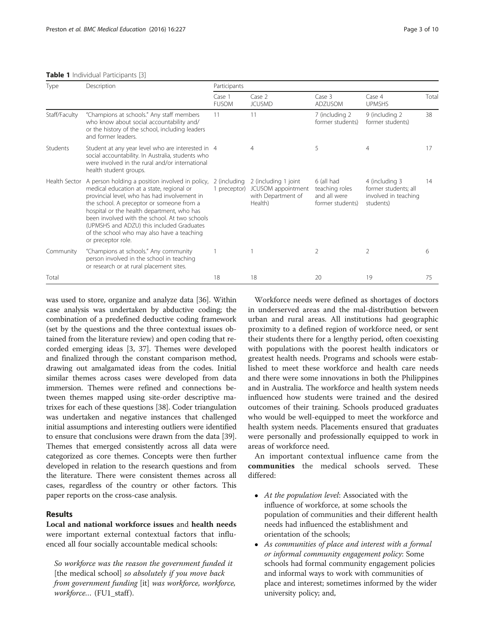# <span id="page-2-0"></span>Table 1 Individual Participants [[3](#page-8-0)]

| Type          | Description                                                                                                                                                                                                                                                                                                                                                                                               | Participants                 |                                                                             |                                                                  |                                                                             |       |
|---------------|-----------------------------------------------------------------------------------------------------------------------------------------------------------------------------------------------------------------------------------------------------------------------------------------------------------------------------------------------------------------------------------------------------------|------------------------------|-----------------------------------------------------------------------------|------------------------------------------------------------------|-----------------------------------------------------------------------------|-------|
|               |                                                                                                                                                                                                                                                                                                                                                                                                           | Case 1<br><b>FUSOM</b>       | Case 2<br><b>JCUSMD</b>                                                     | Case 3<br><b>ADZUSOM</b>                                         | Case 4<br><b>UPMSHS</b>                                                     | Total |
| Staff/Faculty | "Champions at schools." Any staff members<br>who know about social accountability and/<br>or the history of the school, including leaders<br>and former leaders.                                                                                                                                                                                                                                          | 11                           | 11                                                                          | 7 (including 2<br>former students)                               | 9 (including 2<br>former students)                                          | 38    |
| Students      | Student at any year level who are interested in 4<br>social accountability. In Australia, students who<br>were involved in the rural and/or international<br>health student groups.                                                                                                                                                                                                                       |                              | 4                                                                           | 5                                                                | 4                                                                           | 17    |
| Health Sector | A person holding a position involved in policy,<br>medical education at a state, regional or<br>provincial level, who has had involvement in<br>the school. A preceptor or someone from a<br>hospital or the health department, who has<br>been involved with the school. At two schools<br>(UPMSHS and ADZU) this included Graduates<br>of the school who may also have a teaching<br>or preceptor role. | 2 (including<br>1 preceptor) | 2 (including 1 joint<br>JCUSOM appointment<br>with Department of<br>Health) | 6 (all had<br>teaching roles<br>and all were<br>former students) | 4 (including 3<br>former students; all<br>involved in teaching<br>students) | 14    |
| Community     | "Champions at schools." Any community<br>person involved in the school in teaching<br>or research or at rural placement sites.                                                                                                                                                                                                                                                                            |                              |                                                                             | $\overline{2}$                                                   | $\mathcal{P}$                                                               | 6     |
| Total         |                                                                                                                                                                                                                                                                                                                                                                                                           | 18                           | 18                                                                          | 20                                                               | 19                                                                          | 75    |

was used to store, organize and analyze data [\[36\]](#page-9-0). Within case analysis was undertaken by abductive coding; the combination of a predefined deductive coding framework (set by the questions and the three contextual issues obtained from the literature review) and open coding that recorded emerging ideas [[3,](#page-8-0) [37\]](#page-9-0). Themes were developed and finalized through the constant comparison method, drawing out amalgamated ideas from the codes. Initial similar themes across cases were developed from data immersion. Themes were refined and connections between themes mapped using site-order descriptive matrixes for each of these questions [\[38\]](#page-9-0). Coder triangulation was undertaken and negative instances that challenged initial assumptions and interesting outliers were identified to ensure that conclusions were drawn from the data [[39](#page-9-0)]. Themes that emerged consistently across all data were categorized as core themes. Concepts were then further developed in relation to the research questions and from the literature. There were consistent themes across all cases, regardless of the country or other factors. This paper reports on the cross-case analysis.

# Results

Local and national workforce issues and health needs were important external contextual factors that influenced all four socially accountable medical schools:

So workforce was the reason the government funded it [the medical school] so absolutely if you move back from government funding [it] was workforce, workforce, workforce... (FU1\_staff).

Workforce needs were defined as shortages of doctors in underserved areas and the mal-distribution between urban and rural areas. All institutions had geographic proximity to a defined region of workforce need, or sent their students there for a lengthy period, often coexisting with populations with the poorest health indicators or greatest health needs. Programs and schools were established to meet these workforce and health care needs and there were some innovations in both the Philippines and in Australia. The workforce and health system needs influenced how students were trained and the desired outcomes of their training. Schools produced graduates who would be well-equipped to meet the workforce and health system needs. Placements ensured that graduates were personally and professionally equipped to work in areas of workforce need.

An important contextual influence came from the communities the medical schools served. These differed:

- At the population level: Associated with the influence of workforce, at some schools the population of communities and their different health needs had influenced the establishment and orientation of the schools;
- As communities of place and interest with a formal or informal community engagement policy: Some schools had formal community engagement policies and informal ways to work with communities of place and interest; sometimes informed by the wider university policy; and,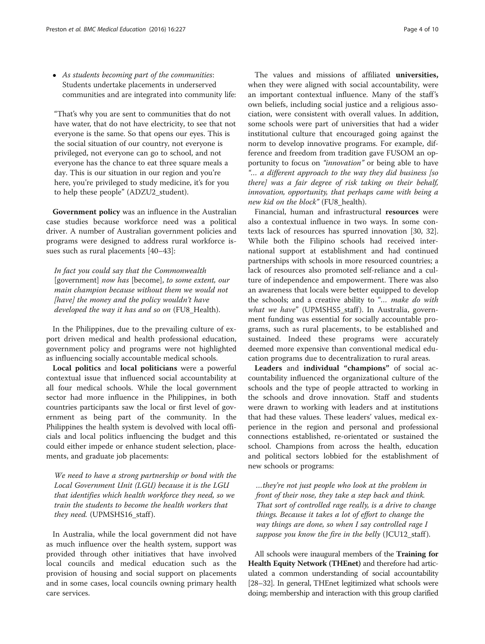As students becoming part of the communities: Students undertake placements in underserved communities and are integrated into community life:

"That's why you are sent to communities that do not have water, that do not have electricity, to see that not everyone is the same. So that opens our eyes. This is the social situation of our country, not everyone is privileged, not everyone can go to school, and not everyone has the chance to eat three square meals a day. This is our situation in our region and you're here, you're privileged to study medicine, it's for you to help these people" (ADZU2\_student).

Government policy was an influence in the Australian case studies because workforce need was a political driver. A number of Australian government policies and programs were designed to address rural workforce issues such as rural placements [[40](#page-9-0)–[43](#page-9-0)]:

In fact you could say that the Commonwealth [government] now has [become], to some extent, our main champion because without them we would not [have] the money and the policy wouldn't have developed the way it has and so on (FU8\_Health).

In the Philippines, due to the prevailing culture of export driven medical and health professional education, government policy and programs were not highlighted as influencing socially accountable medical schools.

Local politics and local politicians were a powerful contextual issue that influenced social accountability at all four medical schools. While the local government sector had more influence in the Philippines, in both countries participants saw the local or first level of government as being part of the community. In the Philippines the health system is devolved with local officials and local politics influencing the budget and this could either impede or enhance student selection, placements, and graduate job placements:

We need to have a strong partnership or bond with the Local Government Unit (LGU) because it is the LGU that identifies which health workforce they need, so we train the students to become the health workers that they need. (UPMSHS16\_staff).

In Australia, while the local government did not have as much influence over the health system, support was provided through other initiatives that have involved local councils and medical education such as the provision of housing and social support on placements and in some cases, local councils owning primary health care services.

The values and missions of affiliated universities, when they were aligned with social accountability, were an important contextual influence. Many of the staff's own beliefs, including social justice and a religious association, were consistent with overall values. In addition, some schools were part of universities that had a wider institutional culture that encouraged going against the norm to develop innovative programs. For example, difference and freedom from tradition gave FUSOM an opportunity to focus on "innovation" or being able to have "… a different approach to the way they did business [so there] was a fair degree of risk taking on their behalf, innovation, opportunity, that perhaps came with being a new kid on the block" (FU8 health).

Financial, human and infrastructural resources were also a contextual influence in two ways. In some contexts lack of resources has spurred innovation [\[30](#page-9-0), [32](#page-9-0)]. While both the Filipino schools had received international support at establishment and had continued partnerships with schools in more resourced countries; a lack of resources also promoted self-reliance and a culture of independence and empowerment. There was also an awareness that locals were better equipped to develop the schools; and a creative ability to "... make do with what we have" (UPMSHS5\_staff). In Australia, government funding was essential for socially accountable programs, such as rural placements, to be established and sustained. Indeed these programs were accurately deemed more expensive than conventional medical education programs due to decentralization to rural areas.

Leaders and individual "champions" of social accountability influenced the organizational culture of the schools and the type of people attracted to working in the schools and drove innovation. Staff and students were drawn to working with leaders and at institutions that had these values. These leaders' values, medical experience in the region and personal and professional connections established, re-orientated or sustained the school. Champions from across the health, education and political sectors lobbied for the establishment of new schools or programs:

…they're not just people who look at the problem in front of their nose, they take a step back and think. That sort of controlled rage really, is a drive to change things. Because it takes a lot of effort to change the way things are done, so when I say controlled rage I suppose you know the fire in the belly (JCU12\_staff).

All schools were inaugural members of the Training for Health Equity Network (THEnet) and therefore had articulated a common understanding of social accountability [[28](#page-9-0)–[32](#page-9-0)]. In general, THEnet legitimized what schools were doing; membership and interaction with this group clarified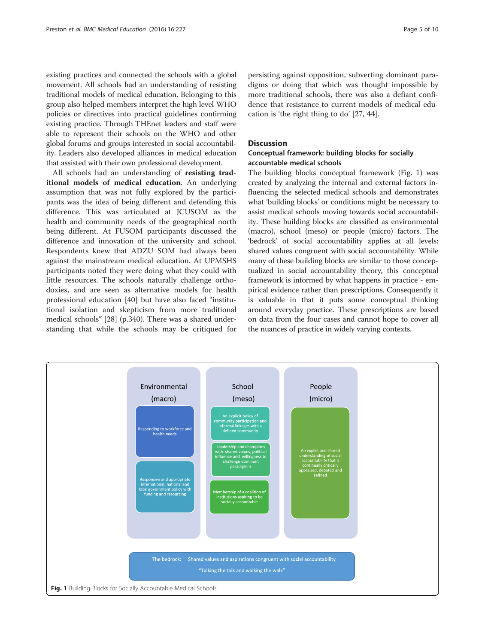existing practices and connected the schools with a global movement. All schools had an understanding of resisting traditional models of medical education. Belonging to this group also helped members interpret the high level WHO policies or directives into practical guidelines confirming existing practice. Through THEnet leaders and staff were able to represent their schools on the WHO and other global forums and groups interested in social accountability. Leaders also developed alliances in medical education that assisted with their own professional development.

All schools had an understanding of resisting traditional models of medical education. An underlying assumption that was not fully explored by the participants was the idea of being different and defending this difference. This was articulated at JCUSOM as the health and community needs of the geographical north being different. At FUSOM participants discussed the difference and innovation of the university and school. Respondents knew that ADZU SOM had always been against the mainstream medical education. At UPMSHS participants noted they were doing what they could with little resources. The schools naturally challenge orthodoxies, and are seen as alternative models for health professional education [\[40](#page-9-0)] but have also faced "institutional isolation and skepticism from more traditional medical schools" [\[28\]](#page-9-0) (p.340). There was a shared understanding that while the schools may be critiqued for

persisting against opposition, subverting dominant paradigms or doing that which was thought impossible by more traditional schools, there was also a defiant confidence that resistance to current models of medical education is 'the right thing to do' [[27, 44\]](#page-9-0).

# **Discussion**

# Conceptual framework: building blocks for socially accountable medical schools

The building blocks conceptual framework (Fig. 1) was created by analyzing the internal and external factors influencing the selected medical schools and demonstrates what 'building blocks' or conditions might be necessary to assist medical schools moving towards social accountability. These building blocks are classified as environmental (macro), school (meso) or people (micro) factors. The 'bedrock' of social accountability applies at all levels: shared values congruent with social accountability. While many of these building blocks are similar to those conceptualized in social accountability theory, this conceptual framework is informed by what happens in practice - empirical evidence rather than prescriptions. Consequently it is valuable in that it puts some conceptual thinking around everyday practice. These prescriptions are based on data from the four cases and cannot hope to cover all the nuances of practice in widely varying contexts.

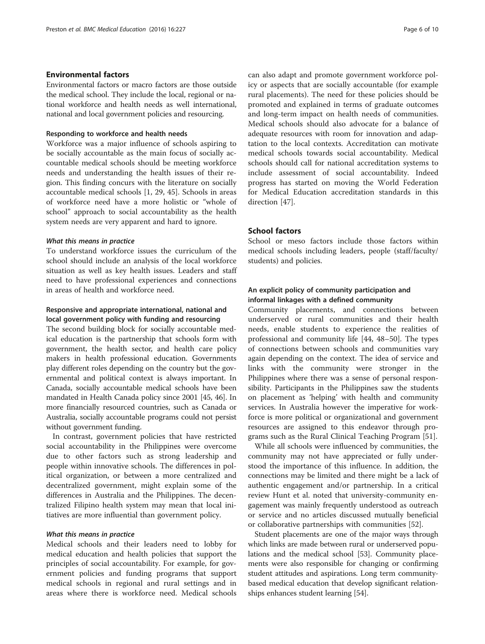# Environmental factors

Environmental factors or macro factors are those outside the medical school. They include the local, regional or national workforce and health needs as well international, national and local government policies and resourcing.

# Responding to workforce and health needs

Workforce was a major influence of schools aspiring to be socially accountable as the main focus of socially accountable medical schools should be meeting workforce needs and understanding the health issues of their region. This finding concurs with the literature on socially accountable medical schools [\[1,](#page-8-0) [29](#page-9-0), [45](#page-9-0)]. Schools in areas of workforce need have a more holistic or "whole of school" approach to social accountability as the health system needs are very apparent and hard to ignore.

#### What this means in practice

To understand workforce issues the curriculum of the school should include an analysis of the local workforce situation as well as key health issues. Leaders and staff need to have professional experiences and connections in areas of health and workforce need.

# Responsive and appropriate international, national and local government policy with funding and resourcing

The second building block for socially accountable medical education is the partnership that schools form with government, the health sector, and health care policy makers in health professional education. Governments play different roles depending on the country but the governmental and political context is always important. In Canada, socially accountable medical schools have been mandated in Health Canada policy since 2001 [\[45, 46\]](#page-9-0). In more financially resourced countries, such as Canada or Australia, socially accountable programs could not persist without government funding.

In contrast, government policies that have restricted social accountability in the Philippines were overcome due to other factors such as strong leadership and people within innovative schools. The differences in political organization, or between a more centralized and decentralized government, might explain some of the differences in Australia and the Philippines. The decentralized Filipino health system may mean that local initiatives are more influential than government policy.

#### What this means in practice

Medical schools and their leaders need to lobby for medical education and health policies that support the principles of social accountability. For example, for government policies and funding programs that support medical schools in regional and rural settings and in areas where there is workforce need. Medical schools can also adapt and promote government workforce policy or aspects that are socially accountable (for example rural placements). The need for these policies should be promoted and explained in terms of graduate outcomes and long-term impact on health needs of communities. Medical schools should also advocate for a balance of adequate resources with room for innovation and adaptation to the local contexts. Accreditation can motivate medical schools towards social accountability. Medical schools should call for national accreditation systems to include assessment of social accountability. Indeed progress has started on moving the World Federation for Medical Education accreditation standards in this direction [\[47](#page-9-0)].

# School factors

School or meso factors include those factors within medical schools including leaders, people (staff/faculty/ students) and policies.

# An explicit policy of community participation and informal linkages with a defined community

Community placements, and connections between underserved or rural communities and their health needs, enable students to experience the realities of professional and community life [[44, 48](#page-9-0)–[50](#page-9-0)]. The types of connections between schools and communities vary again depending on the context. The idea of service and links with the community were stronger in the Philippines where there was a sense of personal responsibility. Participants in the Philippines saw the students on placement as 'helping' with health and community services. In Australia however the imperative for workforce is more political or organizational and government resources are assigned to this endeavor through programs such as the Rural Clinical Teaching Program [\[51](#page-9-0)].

While all schools were influenced by communities, the community may not have appreciated or fully understood the importance of this influence. In addition, the connections may be limited and there might be a lack of authentic engagement and/or partnership. In a critical review Hunt et al. noted that university-community engagement was mainly frequently understood as outreach or service and no articles discussed mutually beneficial or collaborative partnerships with communities [[52\]](#page-9-0).

Student placements are one of the major ways through which links are made between rural or underserved populations and the medical school [\[53\]](#page-9-0). Community placements were also responsible for changing or confirming student attitudes and aspirations. Long term communitybased medical education that develop significant relationships enhances student learning [[54](#page-9-0)].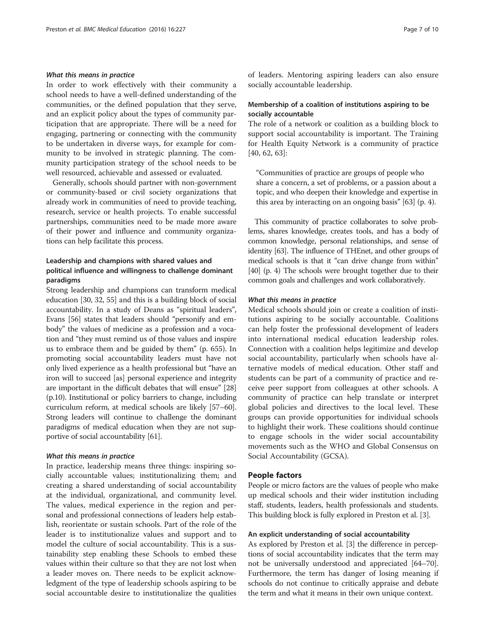# What this means in practice

In order to work effectively with their community a school needs to have a well-defined understanding of the communities, or the defined population that they serve, and an explicit policy about the types of community participation that are appropriate. There will be a need for engaging, partnering or connecting with the community to be undertaken in diverse ways, for example for community to be involved in strategic planning. The community participation strategy of the school needs to be well resourced, achievable and assessed or evaluated.

Generally, schools should partner with non-government or community-based or civil society organizations that already work in communities of need to provide teaching, research, service or health projects. To enable successful partnerships, communities need to be made more aware of their power and influence and community organizations can help facilitate this process.

# Leadership and champions with shared values and political influence and willingness to challenge dominant paradigms

Strong leadership and champions can transform medical education [[30](#page-9-0), [32, 55](#page-9-0)] and this is a building block of social accountability. In a study of Deans as "spiritual leaders", Evans [[56](#page-9-0)] states that leaders should "personify and embody" the values of medicine as a profession and a vocation and "they must remind us of those values and inspire us to embrace them and be guided by them" (p. 655). In promoting social accountability leaders must have not only lived experience as a health professional but "have an iron will to succeed [as] personal experience and integrity are important in the difficult debates that will ensue" [[28](#page-9-0)] (p.10). Institutional or policy barriers to change, including curriculum reform, at medical schools are likely [\[57](#page-9-0)–[60](#page-9-0)]. Strong leaders will continue to challenge the dominant paradigms of medical education when they are not supportive of social accountability [\[61\]](#page-9-0).

### What this means in practice

In practice, leadership means three things: inspiring socially accountable values; institutionalizing them; and creating a shared understanding of social accountability at the individual, organizational, and community level. The values, medical experience in the region and personal and professional connections of leaders help establish, reorientate or sustain schools. Part of the role of the leader is to institutionalize values and support and to model the culture of social accountability. This is a sustainability step enabling these Schools to embed these values within their culture so that they are not lost when a leader moves on. There needs to be explicit acknowledgment of the type of leadership schools aspiring to be social accountable desire to institutionalize the qualities of leaders. Mentoring aspiring leaders can also ensure socially accountable leadership.

# Membership of a coalition of institutions aspiring to be socially accountable

The role of a network or coalition as a building block to support social accountability is important. The Training for Health Equity Network is a community of practice [[40, 62, 63\]](#page-9-0):

"Communities of practice are groups of people who share a concern, a set of problems, or a passion about a topic, and who deepen their knowledge and expertise in this area by interacting on an ongoing basis" [\[63\]](#page-9-0) (p. 4).

This community of practice collaborates to solve problems, shares knowledge, creates tools, and has a body of common knowledge, personal relationships, and sense of identity [\[63](#page-9-0)]. The influence of THEnet, and other groups of medical schools is that it "can drive change from within" [[40](#page-9-0)] (p. 4) The schools were brought together due to their common goals and challenges and work collaboratively.

#### What this means in practice

Medical schools should join or create a coalition of institutions aspiring to be socially accountable. Coalitions can help foster the professional development of leaders into international medical education leadership roles. Connection with a coalition helps legitimize and develop social accountability, particularly when schools have alternative models of medical education. Other staff and students can be part of a community of practice and receive peer support from colleagues at other schools. A community of practice can help translate or interpret global policies and directives to the local level. These groups can provide opportunities for individual schools to highlight their work. These coalitions should continue to engage schools in the wider social accountability movements such as the WHO and Global Consensus on Social Accountability (GCSA).

#### People factors

People or micro factors are the values of people who make up medical schools and their wider institution including staff, students, leaders, health professionals and students. This building block is fully explored in Preston et al. [[3\]](#page-8-0).

#### An explicit understanding of social accountability

As explored by Preston et al. [\[3\]](#page-8-0) the difference in perceptions of social accountability indicates that the term may not be universally understood and appreciated [\[64](#page-9-0)–[70](#page-9-0)]. Furthermore, the term has danger of losing meaning if schools do not continue to critically appraise and debate the term and what it means in their own unique context.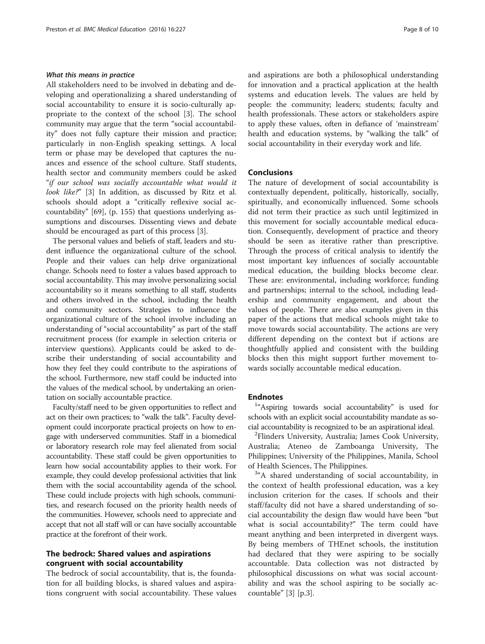# What this means in practice

All stakeholders need to be involved in debating and developing and operationalizing a shared understanding of social accountability to ensure it is socio-culturally appropriate to the context of the school [[3\]](#page-8-0). The school community may argue that the term "social accountability" does not fully capture their mission and practice; particularly in non-English speaking settings. A local term or phase may be developed that captures the nuances and essence of the school culture. Staff students, health sector and community members could be asked "if our school was socially accountable what would it look like?" [\[3\]](#page-8-0) In addition, as discussed by Ritz et al. schools should adopt a "critically reflexive social accountability" [\[69](#page-9-0)], (p. 155) that questions underlying assumptions and discourses. Dissenting views and debate should be encouraged as part of this process [\[3](#page-8-0)].

The personal values and beliefs of staff, leaders and student influence the organizational culture of the school. People and their values can help drive organizational change. Schools need to foster a values based approach to social accountability. This may involve personalizing social accountability so it means something to all staff, students and others involved in the school, including the health and community sectors. Strategies to influence the organizational culture of the school involve including an understanding of "social accountability" as part of the staff recruitment process (for example in selection criteria or interview questions). Applicants could be asked to describe their understanding of social accountability and how they feel they could contribute to the aspirations of the school. Furthermore, new staff could be inducted into the values of the medical school, by undertaking an orientation on socially accountable practice.

Faculty/staff need to be given opportunities to reflect and act on their own practices; to "walk the talk". Faculty development could incorporate practical projects on how to engage with underserved communities. Staff in a biomedical or laboratory research role may feel alienated from social accountability. These staff could be given opportunities to learn how social accountability applies to their work. For example, they could develop professional activities that link them with the social accountability agenda of the school. These could include projects with high schools, communities, and research focused on the priority health needs of the communities. However, schools need to appreciate and accept that not all staff will or can have socially accountable practice at the forefront of their work.

# The bedrock: Shared values and aspirations congruent with social accountability

The bedrock of social accountability, that is, the foundation for all building blocks, is shared values and aspirations congruent with social accountability. These values and aspirations are both a philosophical understanding for innovation and a practical application at the health systems and education levels. The values are held by people: the community; leaders; students; faculty and health professionals. These actors or stakeholders aspire to apply these values, often in defiance of 'mainstream' health and education systems, by "walking the talk" of social accountability in their everyday work and life.

#### Conclusions

The nature of development of social accountability is contextually dependent, politically, historically, socially, spiritually, and economically influenced. Some schools did not term their practice as such until legitimized in this movement for socially accountable medical education. Consequently, development of practice and theory should be seen as iterative rather than prescriptive. Through the process of critical analysis to identify the most important key influences of socially accountable medical education, the building blocks become clear. These are: environmental, including workforce; funding and partnerships; internal to the school, including leadership and community engagement, and about the values of people. There are also examples given in this paper of the actions that medical schools might take to move towards social accountability. The actions are very different depending on the context but if actions are thoughtfully applied and consistent with the building blocks then this might support further movement towards socially accountable medical education.

# **Endnotes**

<sup>1</sup>"Aspiring towards social accountability" is used for schools with an explicit social accountability mandate as social accountability is recognized to be an aspirational ideal. <sup>2</sup>

<sup>2</sup>Flinders University, Australia; James Cook University, Australia; Ateneo de Zamboanga University, The Philippines; University of the Philippines, Manila, School of Health Sciences, The Philippines.

<sup>3</sup>"A shared understanding of social accountability, in the context of health professional education, was a key inclusion criterion for the cases. If schools and their staff/faculty did not have a shared understanding of social accountability the design flaw would have been "but what is social accountability?" The term could have meant anything and been interpreted in divergent ways. By being members of THEnet schools, the institution had declared that they were aspiring to be socially accountable. Data collection was not distracted by philosophical discussions on what was social accountability and was the school aspiring to be socially accountable" [\[3](#page-8-0)] [p.3].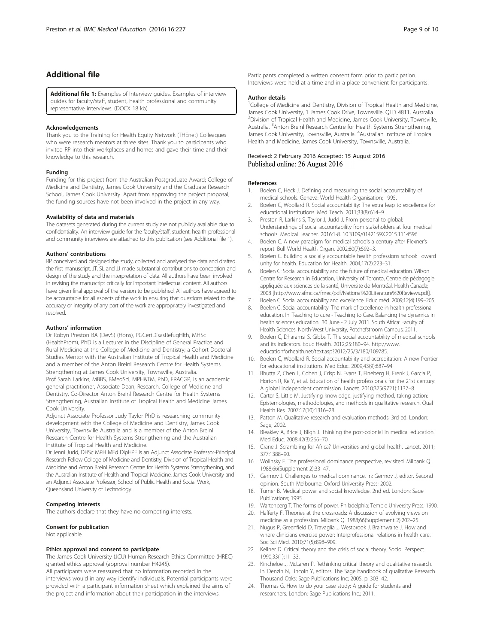# <span id="page-8-0"></span>Additional file

[Additional file 1:](dx.doi.org/10.1186/s12909-016-0741-y) Examples of Interview guides. Examples of interview guides for faculty/staff, student, health professional and community representative interviews. (DOCX 18 kb)

#### Acknowledgements

Thank you to the Training for Health Equity Network (THEnet) Colleagues who were research mentors at three sites. Thank you to participants who invited RP into their workplaces and homes and gave their time and their knowledge to this research.

#### Funding

Funding for this project from the Australian Postgraduate Award; College of Medicine and Dentistry, James Cook University and the Graduate Research School, James Cook University. Apart from approving the project proposal, the funding sources have not been involved in the project in any way.

#### Availability of data and materials

The datasets generated during the current study are not publicly available due to confidentiality. An interview guide for the faculty/staff, student, health professional and community interviews are attached to this publication (see Additional file 1).

#### Authors' contributions

RP conceived and designed the study, collected and analysed the data and drafted the first manuscript. JT, SL and JJ made substantial contributions to conception and design of the study and the interpretation of data. All authors have been involved in revising the manuscript critically for important intellectual content. All authors have given final approval of the version to be published. All authors have agreed to be accountable for all aspects of the work in ensuring that questions related to the accuracy or integrity of any part of the work are appropriately investigated and resolved.

#### Authors' information

Dr Robyn Preston BA (DevS) (Hons), PGCertDisasRefugHlth, MHSc (HealthProm), PhD is a Lecturer in the Discipline of General Practice and Rural Medicine at the College of Medicine and Dentistry; a Cohort Doctoral Studies Mentor with the Australian Institute of Tropical Health and Medicine and a member of the Anton Breinl Research Centre for Health Systems Strengthening at James Cook University, Townsville, Australia. Prof Sarah Larkins, MBBS, BMedSci, MPH&TM, PhD, FRACGP, is an academic general practitioner, Associate Dean, Research, College of Medicine and Dentistry, Co-Director Anton Breinl Research Centre for Health Systems Strengthening, Australian Institute of Tropical Health and Medicine James Cook University.

Adjunct Associate Professor Judy Taylor PhD is researching community development with the College of Medicine and Dentistry, James Cook University, Townsville Australia and is a member of the Anton Breinl Research Centre for Health Systems Strengthening and the Australian Institute of Tropical Health and Medicine.

Dr Jenni Judd, DHSc MPH MEd DipHPE is an Adjunct Associate Professor-Principal Research Fellow College of Medicine and Dentistry, Division of Tropical Health and Medicine and Anton Breinl Research Centre for Health Systems Strengthening, and the Australian Institute of Health and Tropical Medicine, James Cook University and an Adjunct Associate Professor, School of Public Health and Social Work, Queensland University of Technology.

#### Competing interests

The authors declare that they have no competing interests.

#### Consent for publication

Not applicable.

#### Ethics approval and consent to participate

The James Cook University (JCU) Human Research Ethics Committee (HREC) granted ethics approval (approval number H4245).

All participants were reassured that no information recorded in the interviews would in any way identify individuals. Potential participants were provided with a participant information sheet which explained the aims of the project and information about their participation in the interviews.

Participants completed a written consent form prior to participation. Interviews were held at a time and in a place convenient for participants.

#### Author details

<sup>1</sup>College of Medicine and Dentistry, Division of Tropical Health and Medicine, James Cook University, 1 James Cook Drive, Townsville, QLD 4811, Australia. 2 Division of Tropical Health and Medicine, James Cook University, Townsville, Australia. <sup>3</sup> Anton Breinl Research Centre for Health Systems Strengthening, James Cook University, Townsville, Australia. <sup>4</sup>Australian Institute of Tropical Health and Medicine, James Cook University, Townsville, Australia.

# Received: 2 February 2016 Accepted: 15 August 2016<br>Published online: 26 August 2016

#### References

- 1. Boelen C, Heck J. Defining and measuring the social accountability of medical schools. Geneva: World Health Organisation; 1995.
- 2. Boelen C, Woollard R. Social accountability: The extra leap to excellence for educational institutions. Med Teach. 2011;33(8):614–9.
- 3. Preston R, Larkins S, Taylor J, Judd J. From personal to global: Understandings of social accountability from stakeholders at four medical schools. Medical Teacher. 2016:1-8. [10.3109/0142159X.2015.1114596.](http://dx.doi.org/10.3109/0142159X.2015.1114596)
- 4. Boelen C. A new paradigm for medical schools a century after Flexner's report. Bull World Health Organ. 2002;80(7):592–3.
- 5. Boelen C. Building a socially accountable health professions school: Toward unity for health. Education for Health. 2004;17(2):223–31.
- 6. Boelen C: Social accountability and the future of medical education. Wilson Centre for Research in Education, University of Toronto, Centre de pédagogie appliquée aux sciences de la santé, Université de Montréal, Health Canada; 2008 [<http://www.afmc.ca/fmec/pdf/National%20Literature%20Reviews.pdf>].
- 7. Boelen C. Social accountability and excellence. Educ méd. 2009;12(4):199–205.
- 8. Boelen C. Social accountability: The mark of excellence in health professional education. In: Teaching to cure - Teaching to Care. Balancing the dynamics in health sciences education.: 30 June - 2 July 2011. South Africa: Faculty of Health Sciences, North-West University, Potchefstroom Campus; 2011.
- 9. Boelen C, Dharamsi S, Gibbs T. The social accountability of medical schools and its indicators. Educ Health. 2012;25:180–94. http://www. educationforhealth.net/text.asp?2012/25/3/180/109785.
- 10. Boelen C, Woollard R. Social accountability and accreditation: A new frontier for educational institutions. Med Educ. 2009;43(9):887–94.
- 11. Bhutta Z, Chen L, Cohen J, Crisp N, Evans T, Fineberg H, Frenk J, Garcia P, Horton R, Ke Y, et al. Education of health professionals for the 21st century: A global independent commission. Lancet. 2010;375(9721):1137–8.
- 12. Carter S, Little M. Justifying knowledge, justifying method, taking action: Epistemologies, methodologies, and methods in qualitative research. Qual Health Res. 2007;17(10):1316–28.
- 13. Patton M. Qualitative research and evaluation methods. 3rd ed. London: Sage: 2002.
- 14. Bleakley A, Brice J, Bligh J. Thinking the post-colonial in medical education. Med Educ. 2008;42(3):266–70.
- 15. Crane J. Scrambling for Africa? Universities and global health. Lancet. 2011; 377:1388–90.
- 16. Wolinsky F. The professional dominance perspective, revisited. Milbank Q. 1988;66(Supplement 2):33–47.
- 17. Germov J. Challenges to medical dominance. In: Germov J, editor. Second opinion. South Melbourne: Oxford University Press; 2002.
- 18. Turner B. Medical power and social knowledge. 2nd ed. London: Sage Publications; 1995.
- 19. Wartenberg T. The forms of power. Philadelphia: Temple University Press; 1990.
- 20. Hafferty F. Theories at the crossroads: A discussion of evolving views on medicine as a profession. Milbank Q. 1988;66(Supplement 2):202–25.
- 21. Nugus P, Greenfield D, Travaglia J, Westbrook J, Braithwaite J. How and where clinicians exercise power: Interprofessional relations in health care. Soc Sci Med. 2010;71(5):898–909.
- 22. Kellner D. Critical theory and the crisis of social theory. Sociol Perspect. 1990;33(1):11–33.
- 23. Kincheloe J, McLaren P. Rethinking critical theory and qualitative research. In: Denzin N, Lincoln Y, editors. The Sage handbook of qualitative Research. Thousand Oaks: Sage Publications Inc; 2005. p. 303–42.
- 24. Thomas G. How to do your case study: A guide for students and researchers. London: Sage Publications Inc.; 2011.